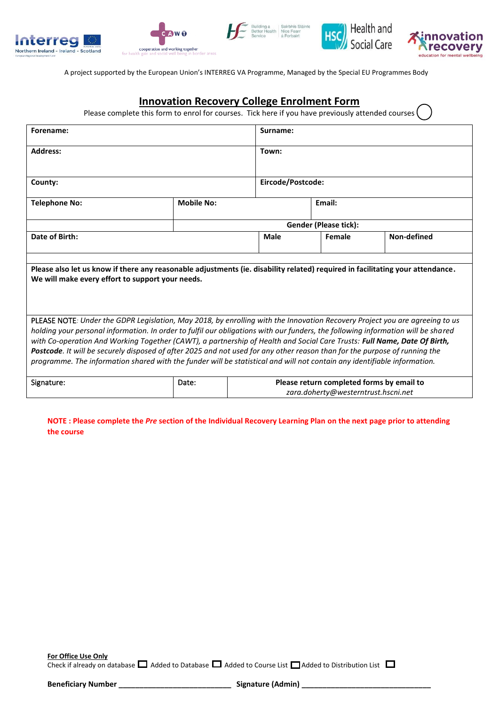









A project supported by the European Union's INTERREG VA Programme, Managed by the Special EU Programmes Body

## **Innovation Recovery College Enrolment Form**

Please complete this form to enrol for courses. Tick here if you have previously attended courses

| Forename:                                                                                                                                                                                                                                                                                                                                                                                                                                             |                   | Surname:                                                                         |                   |                              |  |  |  |
|-------------------------------------------------------------------------------------------------------------------------------------------------------------------------------------------------------------------------------------------------------------------------------------------------------------------------------------------------------------------------------------------------------------------------------------------------------|-------------------|----------------------------------------------------------------------------------|-------------------|------------------------------|--|--|--|
| <b>Address:</b>                                                                                                                                                                                                                                                                                                                                                                                                                                       |                   | Town:                                                                            |                   |                              |  |  |  |
| County:                                                                                                                                                                                                                                                                                                                                                                                                                                               |                   |                                                                                  | Eircode/Postcode: |                              |  |  |  |
| <b>Telephone No:</b>                                                                                                                                                                                                                                                                                                                                                                                                                                  | <b>Mobile No:</b> |                                                                                  | Email:            |                              |  |  |  |
|                                                                                                                                                                                                                                                                                                                                                                                                                                                       |                   |                                                                                  |                   | <b>Gender (Please tick):</b> |  |  |  |
| Date of Birth:                                                                                                                                                                                                                                                                                                                                                                                                                                        |                   | Male                                                                             | Female            | Non-defined                  |  |  |  |
| Please also let us know if there any reasonable adjustments (ie. disability related) required in facilitating your attendance.<br>We will make every effort to support your needs.<br>PLEASE NOTE: Under the GDPR Legislation, May 2018, by enrolling with the Innovation Recovery Project you are agreeing to us<br>holding your personal information. In order to fulfil our obligations with our funders, the following information will be shared |                   |                                                                                  |                   |                              |  |  |  |
| with Co-operation And Working Together (CAWT), a partnership of Health and Social Care Trusts: Full Name, Date Of Birth,<br>Postcode. It will be securely disposed of after 2025 and not used for any other reason than for the purpose of running the<br>programme. The information shared with the funder will be statistical and will not contain any identifiable information.                                                                    |                   |                                                                                  |                   |                              |  |  |  |
| Signature:                                                                                                                                                                                                                                                                                                                                                                                                                                            | Date:             | Please return completed forms by email to<br>zara.doherty@westerntrust.hscni.net |                   |                              |  |  |  |

**NOTE : Please complete the** *Pre* **section of the Individual Recovery Learning Plan on the next page prior to attending the course** 

**For Office Use Only** Check if already on database  $\Box$  Added to Database  $\Box$  Added to Course List  $\Box$  Added to Distribution List  $\Box$